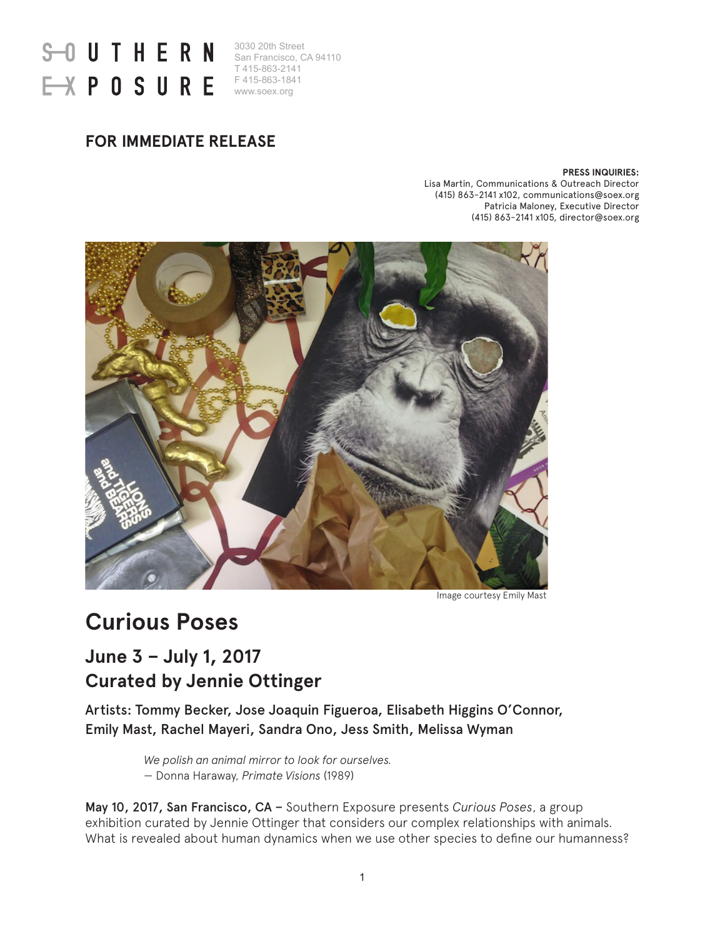

3030 20th Street San Francisco, CA 94110 T 415-863-2141 F 415-863-1841

## **FOR IMMEDIATE RELEASE**

#### **PRESS INQUIRIES:**

Lisa Martin, Communications & Outreach Director (415) 863-2141 x102, communications@soex.org Patricia Maloney, Executive Director (415) 863-2141 x105, director@soex.org



Image courtesy Emily Mast

# **Curious Poses**

## **June 3 – July 1, 2017 Curated by Jennie Ottinger**

Artists: Tommy Becker, Jose Joaquin Figueroa, Elisabeth Higgins O'Connor, Emily Mast, Rachel Mayeri, Sandra Ono, Jess Smith, Melissa Wyman

> *We polish an animal mirror to look for ourselves.* — Donna Haraway, *Primate Visions* (1989)

May 10, 2017, San Francisco, CA – Southern Exposure presents *Curious Poses*, a group exhibition curated by Jennie Ottinger that considers our complex relationships with animals. What is revealed about human dynamics when we use other species to define our humanness?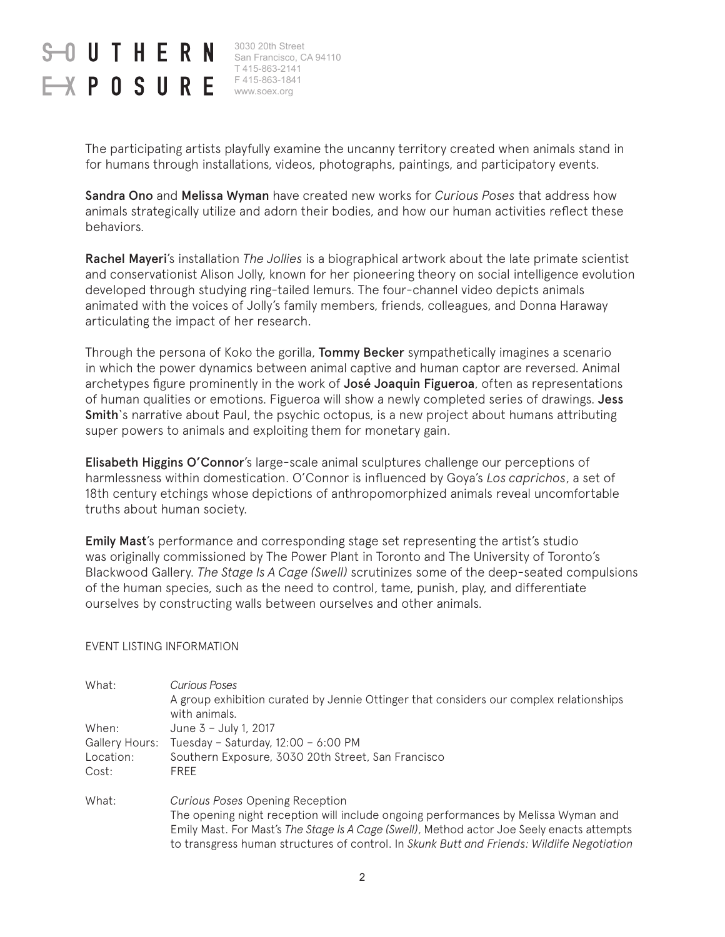# **OUTHERN**

3030 20th Street San Francisco, CA 94110 T 415-863-2141 F 415-863-1841 www.soex.org

The participating artists playfully examine the uncanny territory created when animals stand in for humans through installations, videos, photographs, paintings, and participatory events.

Sandra Ono and Melissa Wyman have created new works for *Curious Poses* that address how animals strategically utilize and adorn their bodies, and how our human activities reflect these behaviors.

Rachel Mayeri's installation *The Jollies* is a biographical artwork about the late primate scientist and conservationist Alison Jolly, known for her pioneering theory on social intelligence evolution developed through studying ring-tailed lemurs. The four-channel video depicts animals animated with the voices of Jolly's family members, friends, colleagues, and Donna Haraway articulating the impact of her research.

Through the persona of Koko the gorilla, **Tommy Becker** sympathetically imagines a scenario in which the power dynamics between animal captive and human captor are reversed. Animal archetypes figure prominently in the work of José Joaquin Figueroa, often as representations of human qualities or emotions. Figueroa will show a newly completed series of drawings. Jess **Smith**'s narrative about Paul, the psychic octopus, is a new project about humans attributing super powers to animals and exploiting them for monetary gain.

Elisabeth Higgins O'Connor's large-scale animal sculptures challenge our perceptions of harmlessness within domestication. O'Connor is influenced by Goya's *Los caprichos*, a set of 18th century etchings whose depictions of anthropomorphized animals reveal uncomfortable truths about human society.

Emily Mast's performance and corresponding stage set representing the artist's studio was originally commissioned by The Power Plant in Toronto and The University of Toronto's Blackwood Gallery. *The Stage Is A Cage (Swell)* scrutinizes some of the deep-seated compulsions of the human species, such as the need to control, tame, punish, play, and differentiate ourselves by constructing walls between ourselves and other animals.

### EVENT LISTING INFORMATION

| What:          | Curious Poses<br>A group exhibition curated by Jennie Ottinger that considers our complex relationships<br>with animals.                                                         |
|----------------|----------------------------------------------------------------------------------------------------------------------------------------------------------------------------------|
| When:          | June $3 -$ July 1, 2017                                                                                                                                                          |
| Gallery Hours: | Tuesday - Saturday, 12:00 - 6:00 PM                                                                                                                                              |
| Location:      | Southern Exposure, 3030 20th Street, San Francisco                                                                                                                               |
| Cost:          | <b>FRFF</b>                                                                                                                                                                      |
| What:          | Curious Poses Opening Reception                                                                                                                                                  |
|                | The opening night reception will include ongoing performances by Melissa Wyman and<br>Emily Mast. For Mast's The Stage Is A Cage (Swell), Method actor Joe Seely enacts attempts |
|                | to transgress human structures of control. In Skunk Butt and Friends: Wildlife Negotiation                                                                                       |